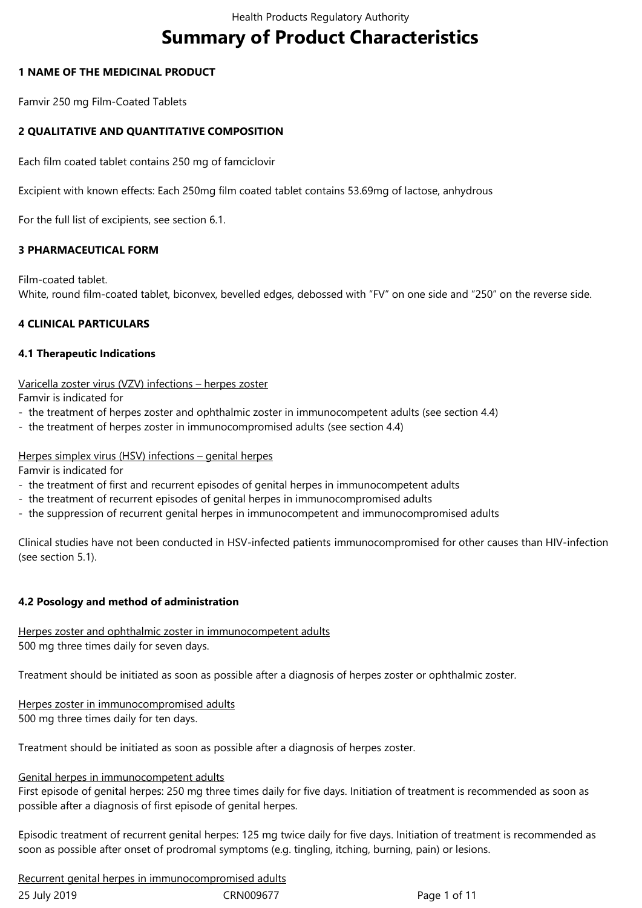# **Summary of Product Characteristics**

#### **1 NAME OF THE MEDICINAL PRODUCT**

Famvir 250 mg Film-Coated Tablets

# **2 QUALITATIVE AND QUANTITATIVE COMPOSITION**

Each film coated tablet contains 250 mg of famciclovir

Excipient with known effects: Each 250mg film coated tablet contains 53.69mg of lactose, anhydrous

For the full list of excipients, see section 6.1.

#### **3 PHARMACEUTICAL FORM**

Film-coated tablet.

White, round film-coated tablet, biconvex, bevelled edges, debossed with "FV" on one side and "250" on the reverse side.

#### **4 CLINICAL PARTICULARS**

#### **4.1 Therapeutic Indications**

Varicella zoster virus (VZV) infections – herpes zoster

Famvir is indicated for

- the treatment of herpes zoster and ophthalmic zoster in immunocompetent adults (see section 4.4)
- the treatment of herpes zoster in immunocompromised adults (see section 4.4)

## Herpes simplex virus (HSV) infections – genital herpes

Famvir is indicated for

- the treatment of first and recurrent episodes of genital herpes in immunocompetent adults
- the treatment of recurrent episodes of genital herpes in immunocompromised adults
- the suppression of recurrent genital herpes in immunocompetent and immunocompromised adults

Clinical studies have not been conducted in HSV-infected patients immunocompromised for other causes than HIV-infection (see section 5.1).

#### **4.2 Posology and method of administration**

Herpes zoster and ophthalmic zoster in immunocompetent adults 500 mg three times daily for seven days.

Treatment should be initiated as soon as possible after a diagnosis of herpes zoster or ophthalmic zoster.

Herpes zoster in immunocompromised adults 500 mg three times daily for ten days.

Treatment should be initiated as soon as possible after a diagnosis of herpes zoster.

#### Genital herpes in immunocompetent adults

First episode of genital herpes: 250 mg three times daily for five days. Initiation of treatment is recommended as soon as possible after a diagnosis of first episode of genital herpes.

Episodic treatment of recurrent genital herpes: 125 mg twice daily for five days. Initiation of treatment is recommended as soon as possible after onset of prodromal symptoms (e.g. tingling, itching, burning, pain) or lesions.

Recurrent genital herpes in immunocompromised adults

| 25 July 2019 | CRN009677 | Page 1 of 11 |
|--------------|-----------|--------------|
|--------------|-----------|--------------|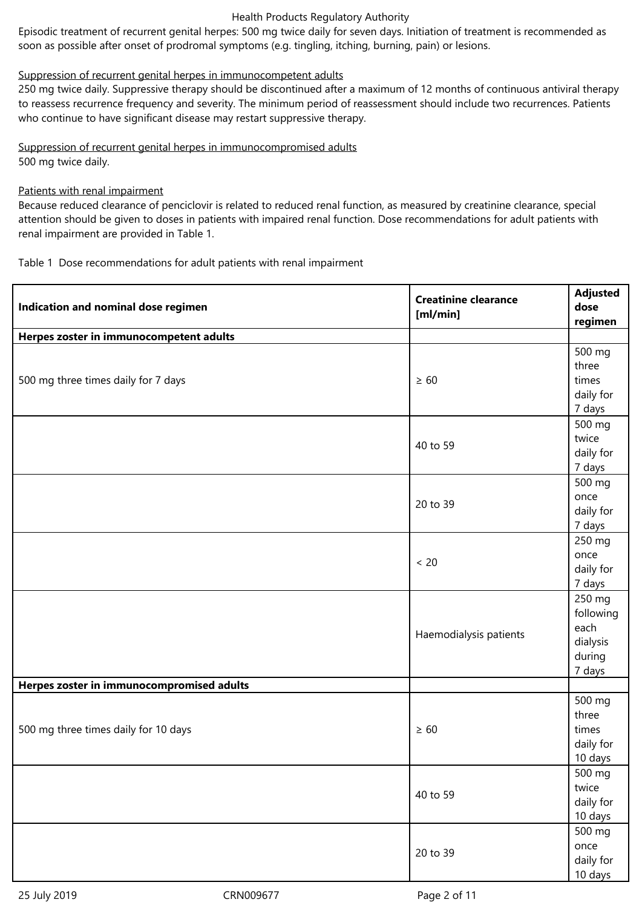#### Health Products Regulatory Authority

Episodic treatment of recurrent genital herpes: 500 mg twice daily for seven days. Initiation of treatment is recommended as soon as possible after onset of prodromal symptoms (e.g. tingling, itching, burning, pain) or lesions.

#### Suppression of recurrent genital herpes in immunocompetent adults

250 mg twice daily. Suppressive therapy should be discontinued after a maximum of 12 months of continuous antiviral therapy to reassess recurrence frequency and severity. The minimum period of reassessment should include two recurrences. Patients who continue to have significant disease may restart suppressive therapy.

Suppression of recurrent genital herpes in immunocompromised adults 500 mg twice daily.

#### Patients with renal impairment

Because reduced clearance of penciclovir is related to reduced renal function, as measured by creatinine clearance, special attention should be given to doses in patients with impaired renal function. Dose recommendations for adult patients with renal impairment are provided in Table 1.

Table 1 Dose recommendations for adult patients with renal impairment

| Indication and nominal dose regimen       | <b>Creatinine clearance</b><br>[m]/min] | <b>Adjusted</b><br>dose<br>regimen                          |
|-------------------------------------------|-----------------------------------------|-------------------------------------------------------------|
| Herpes zoster in immunocompetent adults   |                                         |                                                             |
| 500 mg three times daily for 7 days       | $\geq 60$                               | 500 mg<br>three<br>times<br>daily for<br>7 days             |
|                                           | 40 to 59                                | 500 mg<br>twice<br>daily for<br>7 days                      |
|                                           | 20 to 39                                | 500 mg<br>once<br>daily for<br>7 days                       |
|                                           | $< 20$                                  | 250 mg<br>once<br>daily for<br>7 days                       |
|                                           | Haemodialysis patients                  | 250 mg<br>following<br>each<br>dialysis<br>during<br>7 days |
| Herpes zoster in immunocompromised adults |                                         |                                                             |
| 500 mg three times daily for 10 days      | $\geq 60$                               | 500 mg<br>three<br>times<br>daily for<br>10 days            |
|                                           | 40 to 59                                | 500 mg<br>twice<br>daily for<br>10 days                     |
|                                           | 20 to 39                                | 500 mg<br>once<br>daily for<br>10 days                      |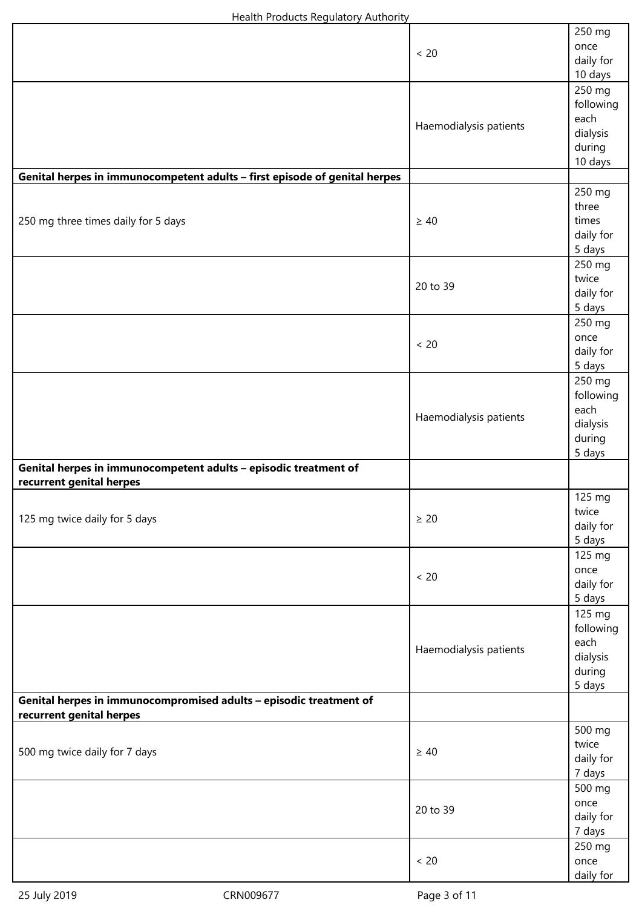|                                                                                                | < 20                   | 250 mg<br>once<br>daily for<br>10 days                       |
|------------------------------------------------------------------------------------------------|------------------------|--------------------------------------------------------------|
|                                                                                                | Haemodialysis patients | 250 mg<br>following<br>each<br>dialysis<br>during<br>10 days |
| Genital herpes in immunocompetent adults - first episode of genital herpes                     |                        |                                                              |
| 250 mg three times daily for 5 days                                                            | $\geq 40$              | 250 mg<br>three<br>times<br>daily for<br>5 days              |
|                                                                                                | 20 to 39               | 250 mg<br>twice<br>daily for<br>5 days                       |
|                                                                                                | < 20                   | 250 mg<br>once<br>daily for<br>5 days                        |
|                                                                                                | Haemodialysis patients | 250 mg<br>following<br>each<br>dialysis<br>during<br>5 days  |
| Genital herpes in immunocompetent adults - episodic treatment of<br>recurrent genital herpes   |                        |                                                              |
| 125 mg twice daily for 5 days                                                                  | $\geq 20$              | 125 mg<br>twice<br>daily for<br>5 days                       |
|                                                                                                | < 20                   | 125 mg<br>once<br>daily for<br>5 days                        |
|                                                                                                | Haemodialysis patients | 125 mg<br>following<br>each<br>dialysis<br>during<br>5 days  |
| Genital herpes in immunocompromised adults - episodic treatment of<br>recurrent genital herpes |                        |                                                              |
| 500 mg twice daily for 7 days                                                                  | $\geq 40$              | 500 mg<br>twice<br>daily for<br>7 days                       |
|                                                                                                | 20 to 39               | 500 mg<br>once<br>daily for<br>7 days                        |
|                                                                                                | < 20                   | 250 mg<br>once<br>daily for                                  |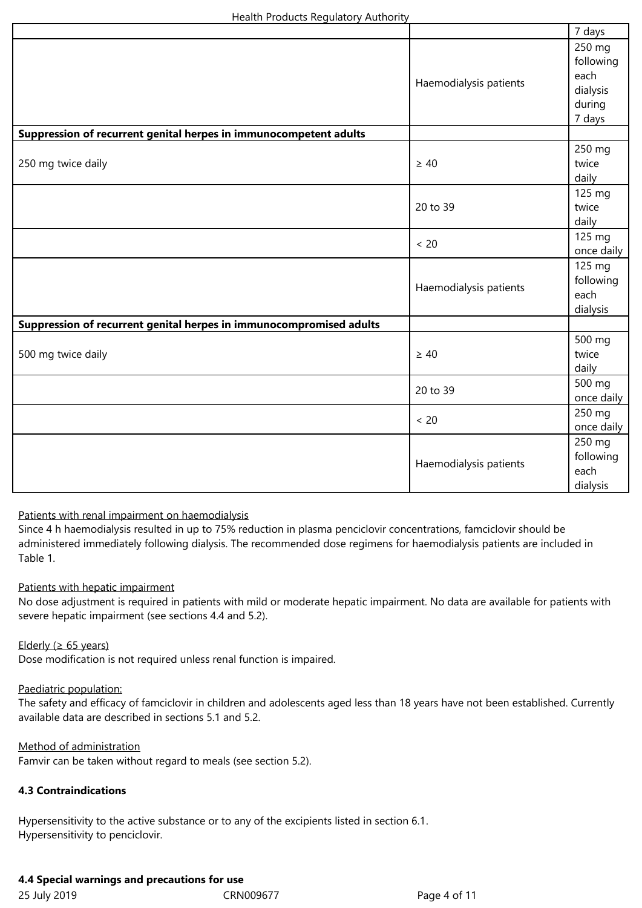|                                                                     |                        | 7 days                                                      |
|---------------------------------------------------------------------|------------------------|-------------------------------------------------------------|
|                                                                     | Haemodialysis patients | 250 mg<br>following<br>each<br>dialysis<br>during<br>7 days |
| Suppression of recurrent genital herpes in immunocompetent adults   |                        |                                                             |
| 250 mg twice daily                                                  | $\geq 40$              | 250 mg<br>twice<br>daily                                    |
|                                                                     | 20 to 39               | 125 mg<br>twice<br>daily                                    |
|                                                                     | < 20                   | 125 mg<br>once daily                                        |
|                                                                     | Haemodialysis patients | 125 mg<br>following<br>each<br>dialysis                     |
| Suppression of recurrent genital herpes in immunocompromised adults |                        |                                                             |
| 500 mg twice daily                                                  | $\geq 40$              | 500 mg<br>twice<br>daily                                    |
|                                                                     | 20 to 39               | 500 mg<br>once daily                                        |
|                                                                     | < 20                   | 250 mg<br>once daily                                        |
|                                                                     | Haemodialysis patients | 250 mg<br>following<br>each<br>dialysis                     |

# Patients with renal impairment on haemodialysis

Since 4 h haemodialysis resulted in up to 75% reduction in plasma penciclovir concentrations, famciclovir should be administered immediately following dialysis. The recommended dose regimens for haemodialysis patients are included in Table 1.

#### Patients with hepatic impairment

No dose adjustment is required in patients with mild or moderate hepatic impairment. No data are available for patients with severe hepatic impairment (see sections 4.4 and 5.2).

#### Elderly ( $\geq 65$  years)

Dose modification is not required unless renal function is impaired.

#### Paediatric population:

The safety and efficacy of famciclovir in children and adolescents aged less than 18 years have not been established. Currently available data are described in sections 5.1 and 5.2.

#### Method of administration

Famvir can be taken without regard to meals (see section 5.2).

#### **4.3 Contraindications**

Hypersensitivity to the active substance or to any of the excipients listed in section 6.1. Hypersensitivity to penciclovir.

# **4.4 Special warnings and precautions for use**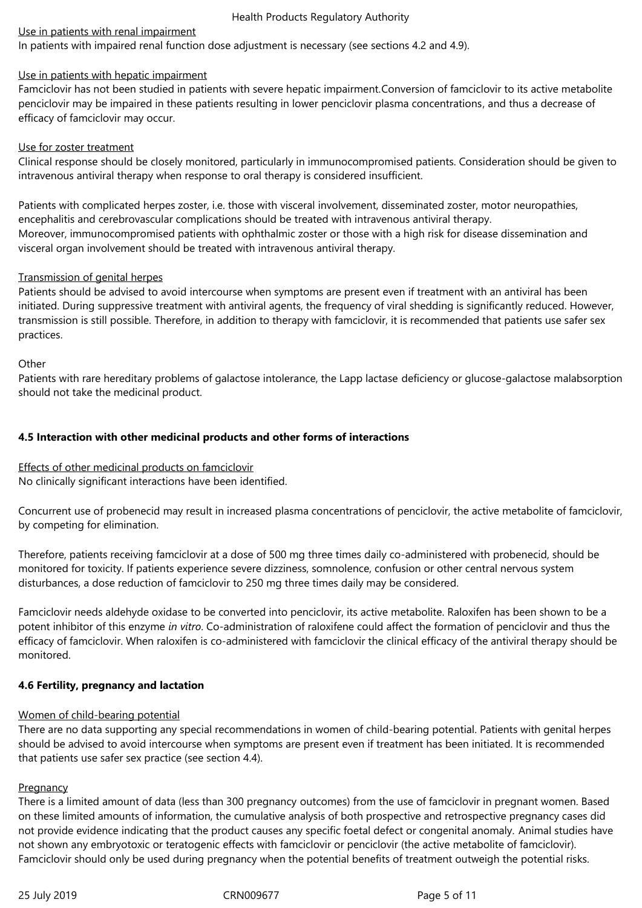#### Health Products Regulatory Authority

#### Use in patients with renal impairment

In patients with impaired renal function dose adjustment is necessary (see sections 4.2 and 4.9).

#### Use in patients with hepatic impairment

Famciclovir has not been studied in patients with severe hepatic impairment.Conversion of famciclovir to its active metabolite penciclovir may be impaired in these patients resulting in lower penciclovir plasma concentrations, and thus a decrease of efficacy of famciclovir may occur.

#### Use for zoster treatment

Clinical response should be closely monitored, particularly in immunocompromised patients. Consideration should be given to intravenous antiviral therapy when response to oral therapy is considered insufficient.

Patients with complicated herpes zoster, i.e. those with visceral involvement, disseminated zoster, motor neuropathies, encephalitis and cerebrovascular complications should be treated with intravenous antiviral therapy. Moreover, immunocompromised patients with ophthalmic zoster or those with a high risk for disease dissemination and visceral organ involvement should be treated with intravenous antiviral therapy.

#### Transmission of genital herpes

Patients should be advised to avoid intercourse when symptoms are present even if treatment with an antiviral has been initiated. During suppressive treatment with antiviral agents, the frequency of viral shedding is significantly reduced. However, transmission is still possible. Therefore, in addition to therapy with famciclovir, it is recommended that patients use safer sex practices.

#### **Other**

Patients with rare hereditary problems of galactose intolerance, the Lapp lactase deficiency or glucose-galactose malabsorption should not take the medicinal product.

# **4.5 Interaction with other medicinal products and other forms of interactions**

Effects of other medicinal products on famciclovir No clinically significant interactions have been identified.

Concurrent use of probenecid may result in increased plasma concentrations of penciclovir, the active metabolite of famciclovir, by competing for elimination.

Therefore, patients receiving famciclovir at a dose of 500 mg three times daily co-administered with probenecid, should be monitored for toxicity. If patients experience severe dizziness, somnolence, confusion or other central nervous system disturbances, a dose reduction of famciclovir to 250 mg three times daily may be considered.

Famciclovir needs aldehyde oxidase to be converted into penciclovir, its active metabolite. Raloxifen has been shown to be a potent inhibitor of this enzyme *in vitro*. Co-administration of raloxifene could affect the formation of penciclovir and thus the efficacy of famciclovir. When raloxifen is co-administered with famciclovir the clinical efficacy of the antiviral therapy should be monitored.

# **4.6 Fertility, pregnancy and lactation**

# Women of child-bearing potential

There are no data supporting any special recommendations in women of child-bearing potential. Patients with genital herpes should be advised to avoid intercourse when symptoms are present even if treatment has been initiated. It is recommended that patients use safer sex practice (see section 4.4).

# **Pregnancy**

There is a limited amount of data (less than 300 pregnancy outcomes) from the use of famciclovir in pregnant women. Based on these limited amounts of information, the cumulative analysis of both prospective and retrospective pregnancy cases did not provide evidence indicating that the product causes any specific foetal defect or congenital anomaly. Animal studies have not shown any embryotoxic or teratogenic effects with famciclovir or penciclovir (the active metabolite of famciclovir). Famciclovir should only be used during pregnancy when the potential benefits of treatment outweigh the potential risks.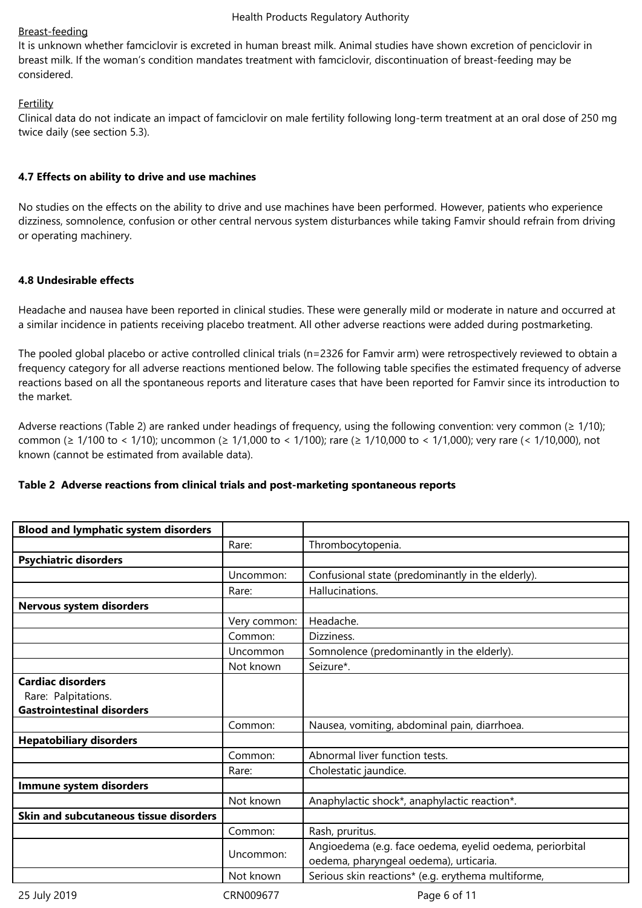#### Breast-feeding

It is unknown whether famciclovir is excreted in human breast milk. Animal studies have shown excretion of penciclovir in breast milk. If the woman's condition mandates treatment with famciclovir, discontinuation of breast-feeding may be considered.

# **Fertility**

Clinical data do not indicate an impact of famciclovir on male fertility following long-term treatment at an oral dose of 250 mg twice daily (see section 5.3).

#### **4.7 Effects on ability to drive and use machines**

No studies on the effects on the ability to drive and use machines have been performed. However, patients who experience dizziness, somnolence, confusion or other central nervous system disturbances while taking Famvir should refrain from driving or operating machinery.

#### **4.8 Undesirable effects**

Headache and nausea have been reported in clinical studies. These were generally mild or moderate in nature and occurred at a similar incidence in patients receiving placebo treatment. All other adverse reactions were added during postmarketing.

The pooled global placebo or active controlled clinical trials (n=2326 for Famvir arm) were retrospectively reviewed to obtain a frequency category for all adverse reactions mentioned below. The following table specifies the estimated frequency of adverse reactions based on all the spontaneous reports and literature cases that have been reported for Famvir since its introduction to the market.

Adverse reactions (Table 2) are ranked under headings of frequency, using the following convention: very common ( $\geq$  1/10); common (≥ 1/100 to < 1/10); uncommon (≥ 1/1,000 to < 1/100); rare (≥ 1/10,000 to < 1/1,000); very rare (< 1/10,000), not known (cannot be estimated from available data).

# **Table 2 Adverse reactions from clinical trials and post-marketing spontaneous reports**

| <b>Blood and lymphatic system disorders</b>                                          |              |                                                                                                    |
|--------------------------------------------------------------------------------------|--------------|----------------------------------------------------------------------------------------------------|
|                                                                                      | Rare:        | Thrombocytopenia.                                                                                  |
| <b>Psychiatric disorders</b>                                                         |              |                                                                                                    |
|                                                                                      | Uncommon:    | Confusional state (predominantly in the elderly).                                                  |
|                                                                                      | Rare:        | Hallucinations.                                                                                    |
| Nervous system disorders                                                             |              |                                                                                                    |
|                                                                                      | Very common: | Headache.                                                                                          |
|                                                                                      | Common:      | Dizziness.                                                                                         |
|                                                                                      | Uncommon     | Somnolence (predominantly in the elderly).                                                         |
|                                                                                      | Not known    | Seizure*.                                                                                          |
| <b>Cardiac disorders</b><br>Rare: Palpitations.<br><b>Gastrointestinal disorders</b> |              |                                                                                                    |
|                                                                                      | Common:      | Nausea, vomiting, abdominal pain, diarrhoea.                                                       |
| <b>Hepatobiliary disorders</b>                                                       |              |                                                                                                    |
|                                                                                      | Common:      | Abnormal liver function tests.                                                                     |
|                                                                                      | Rare:        | Cholestatic jaundice.                                                                              |
| Immune system disorders                                                              |              |                                                                                                    |
|                                                                                      | Not known    | Anaphylactic shock*, anaphylactic reaction*.                                                       |
| Skin and subcutaneous tissue disorders                                               |              |                                                                                                    |
|                                                                                      | Common:      | Rash, pruritus.                                                                                    |
|                                                                                      | Uncommon:    | Angioedema (e.g. face oedema, eyelid oedema, periorbital<br>oedema, pharyngeal oedema), urticaria. |
|                                                                                      | Not known    | Serious skin reactions* (e.g. erythema multiforme,                                                 |
| 25 July 2019                                                                         | CRN009677    | Page 6 of 11                                                                                       |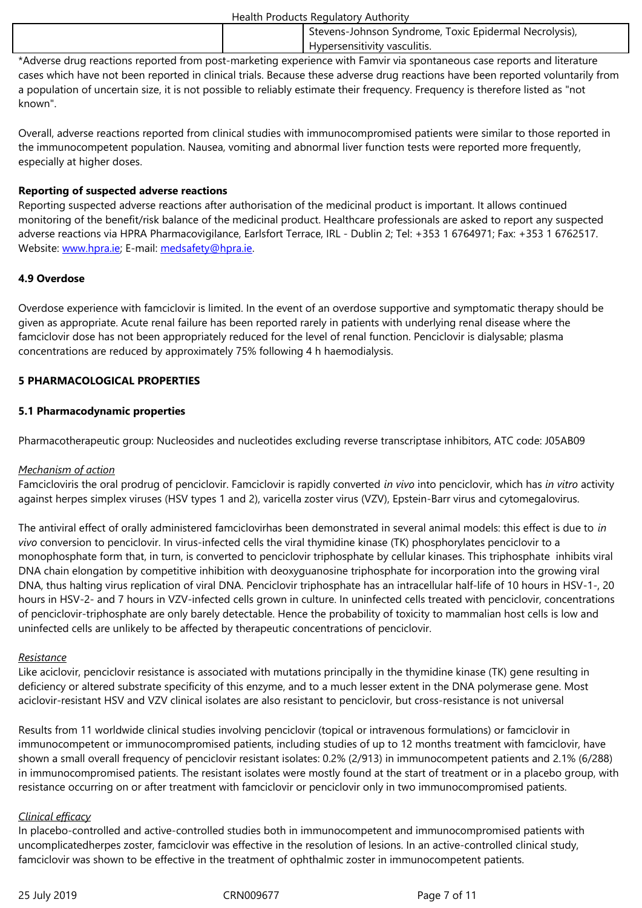\*Adverse drug reactions reported from post-marketing experience with Famvir via spontaneous case reports and literature cases which have not been reported in clinical trials. Because these adverse drug reactions have been reported voluntarily from a population of uncertain size, it is not possible to reliably estimate their frequency. Frequency is therefore listed as "not known".

Overall, adverse reactions reported from clinical studies with immunocompromised patients were similar to those reported in the immunocompetent population. Nausea, vomiting and abnormal liver function tests were reported more frequently, especially at higher doses.

#### **Reporting of suspected adverse reactions**

Reporting suspected adverse reactions after authorisation of the medicinal product is important. It allows continued monitoring of the benefit/risk balance of the medicinal product. Healthcare professionals are asked to report any suspected adverse reactions via HPRA Pharmacovigilance, Earlsfort Terrace, IRL - Dublin 2; Tel: +353 1 6764971; Fax: +353 1 6762517. Website: www.hpra.ie; E-mail: medsafety@hpra.ie.

#### **4.9 Overdose**

Overdos[e experience](http://www.hpra.ie/) with fa[mciclovir is limited. In](mailto:medsafety@hpra.ie) the event of an overdose supportive and symptomatic therapy should be given as appropriate. Acute renal failure has been reported rarely in patients with underlying renal disease where the famciclovir dose has not been appropriately reduced for the level of renal function. Penciclovir is dialysable; plasma concentrations are reduced by approximately 75% following 4 h haemodialysis.

#### **5 PHARMACOLOGICAL PROPERTIES**

#### **5.1 Pharmacodynamic properties**

Pharmacotherapeutic group: Nucleosides and nucleotides excluding reverse transcriptase inhibitors, ATC code: J05AB09

#### *Mechanism of action*

Famcicloviris the oral prodrug of penciclovir. Famciclovir is rapidly converted *in vivo* into penciclovir, which has *in vitro* activity against herpes simplex viruses (HSV types 1 and 2), varicella zoster virus (VZV), Epstein-Barr virus and cytomegalovirus.

The antiviral effect of orally administered famciclovirhas been demonstrated in several animal models: this effect is due to *in vivo* conversion to penciclovir. In virus-infected cells the viral thymidine kinase (TK) phosphorylates penciclovir to a monophosphate form that, in turn, is converted to penciclovir triphosphate by cellular kinases. This triphosphate inhibits viral DNA chain elongation by competitive inhibition with deoxyguanosine triphosphate for incorporation into the growing viral DNA, thus halting virus replication of viral DNA. Penciclovir triphosphate has an intracellular half-life of 10 hours in HSV-1-, 20 hours in HSV-2- and 7 hours in VZV-infected cells grown in culture. In uninfected cells treated with penciclovir, concentrations of penciclovir-triphosphate are only barely detectable. Hence the probability of toxicity to mammalian host cells is low and uninfected cells are unlikely to be affected by therapeutic concentrations of penciclovir.

#### *Resistance*

Like aciclovir, penciclovir resistance is associated with mutations principally in the thymidine kinase (TK) gene resulting in deficiency or altered substrate specificity of this enzyme, and to a much lesser extent in the DNA polymerase gene. Most aciclovir-resistant HSV and VZV clinical isolates are also resistant to penciclovir, but cross-resistance is not universal

Results from 11 worldwide clinical studies involving penciclovir (topical or intravenous formulations) or famciclovir in immunocompetent or immunocompromised patients, including studies of up to 12 months treatment with famciclovir, have shown a small overall frequency of penciclovir resistant isolates: 0.2% (2/913) in immunocompetent patients and 2.1% (6/288) in immunocompromised patients. The resistant isolates were mostly found at the start of treatment or in a placebo group, with resistance occurring on or after treatment with famciclovir or penciclovir only in two immunocompromised patients.

#### *Clinical efficacy*

In placebo-controlled and active-controlled studies both in immunocompetent and immunocompromised patients with uncomplicatedherpes zoster, famciclovir was effective in the resolution of lesions. In an active-controlled clinical study, famciclovir was shown to be effective in the treatment of ophthalmic zoster in immunocompetent patients.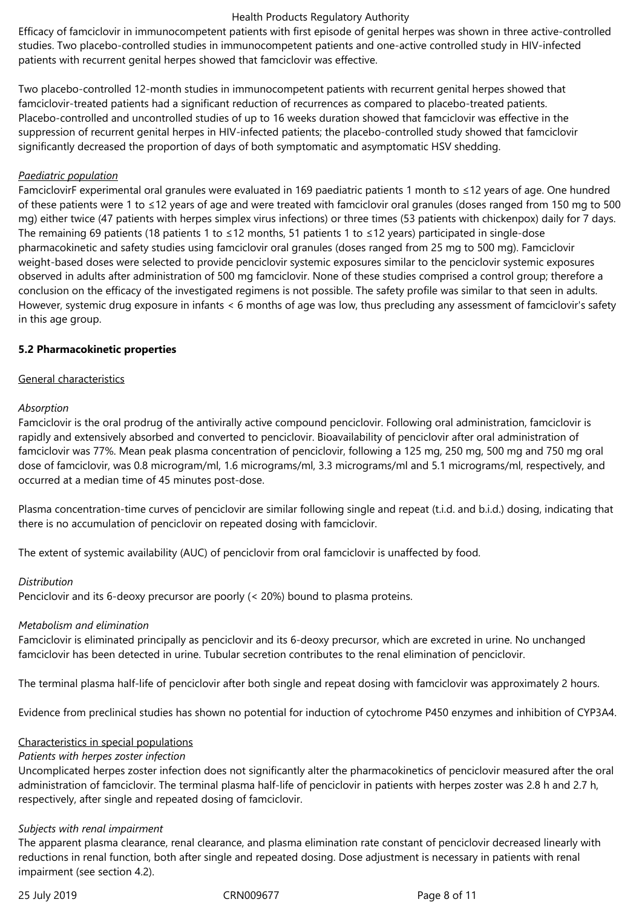#### Health Products Regulatory Authority

Efficacy of famciclovir in immunocompetent patients with first episode of genital herpes was shown in three active-controlled studies. Two placebo-controlled studies in immunocompetent patients and one-active controlled study in HIV-infected patients with recurrent genital herpes showed that famciclovir was effective.

Two placebo-controlled 12-month studies in immunocompetent patients with recurrent genital herpes showed that famciclovir-treated patients had a significant reduction of recurrences as compared to placebo-treated patients. Placebo-controlled and uncontrolled studies of up to 16 weeks duration showed that famciclovir was effective in the suppression of recurrent genital herpes in HIV-infected patients; the placebo-controlled study showed that famciclovir significantly decreased the proportion of days of both symptomatic and asymptomatic HSV shedding.

#### *Paediatric population*

FamciclovirF experimental oral granules were evaluated in 169 paediatric patients 1 month to ≤12 years of age. One hundred of these patients were 1 to ≤12 years of age and were treated with famciclovir oral granules (doses ranged from 150 mg to 500 mg) either twice (47 patients with herpes simplex virus infections) or three times (53 patients with chickenpox) daily for 7 days. The remaining 69 patients (18 patients 1 to ≤12 months, 51 patients 1 to ≤12 years) participated in single-dose pharmacokinetic and safety studies using famciclovir oral granules (doses ranged from 25 mg to 500 mg). Famciclovir weight-based doses were selected to provide penciclovir systemic exposures similar to the penciclovir systemic exposures observed in adults after administration of 500 mg famciclovir. None of these studies comprised a control group; therefore a conclusion on the efficacy of the investigated regimens is not possible. The safety profile was similar to that seen in adults. However, systemic drug exposure in infants < 6 months of age was low, thus precluding any assessment of famciclovir's safety in this age group.

#### **5.2 Pharmacokinetic properties**

#### General characteristics

#### *Absorption*

Famciclovir is the oral prodrug of the antivirally active compound penciclovir. Following oral administration, famciclovir is rapidly and extensively absorbed and converted to penciclovir. Bioavailability of penciclovir after oral administration of famciclovir was 77%. Mean peak plasma concentration of penciclovir, following a 125 mg, 250 mg, 500 mg and 750 mg oral dose of famciclovir, was 0.8 microgram/ml, 1.6 micrograms/ml, 3.3 micrograms/ml and 5.1 micrograms/ml, respectively, and occurred at a median time of 45 minutes post-dose.

Plasma concentration-time curves of penciclovir are similar following single and repeat (t.i.d. and b.i.d.) dosing, indicating that there is no accumulation of penciclovir on repeated dosing with famciclovir.

The extent of systemic availability (AUC) of penciclovir from oral famciclovir is unaffected by food.

#### *Distribution*

Penciclovir and its 6-deoxy precursor are poorly (< 20%) bound to plasma proteins.

#### *Metabolism and elimination*

Famciclovir is eliminated principally as penciclovir and its 6-deoxy precursor, which are excreted in urine. No unchanged famciclovir has been detected in urine. Tubular secretion contributes to the renal elimination of penciclovir.

The terminal plasma half-life of penciclovir after both single and repeat dosing with famciclovir was approximately 2 hours.

Evidence from preclinical studies has shown no potential for induction of cytochrome P450 enzymes and inhibition of CYP3A4.

#### Characteristics in special populations

# *Patients with herpes zoster infection*

Uncomplicated herpes zoster infection does not significantly alter the pharmacokinetics of penciclovir measured after the oral administration of famciclovir. The terminal plasma half-life of penciclovir in patients with herpes zoster was 2.8 h and 2.7 h, respectively, after single and repeated dosing of famciclovir.

#### *Subjects with renal impairment*

The apparent plasma clearance, renal clearance, and plasma elimination rate constant of penciclovir decreased linearly with reductions in renal function, both after single and repeated dosing. Dose adjustment is necessary in patients with renal impairment (see section 4.2).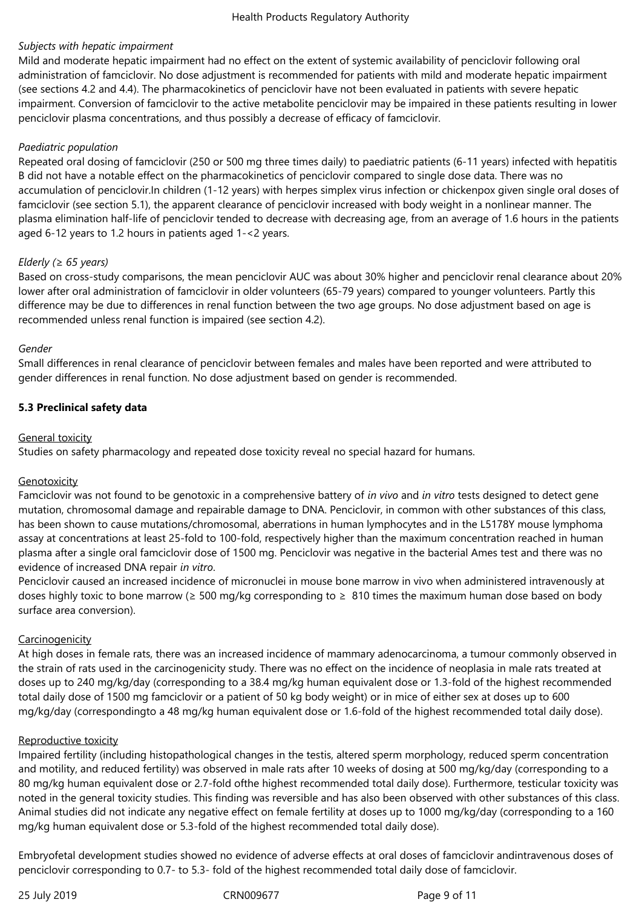## *Subjects with hepatic impairment*

Mild and moderate hepatic impairment had no effect on the extent of systemic availability of penciclovir following oral administration of famciclovir. No dose adjustment is recommended for patients with mild and moderate hepatic impairment (see sections 4.2 and 4.4). The pharmacokinetics of penciclovir have not been evaluated in patients with severe hepatic impairment. Conversion of famciclovir to the active metabolite penciclovir may be impaired in these patients resulting in lower penciclovir plasma concentrations, and thus possibly a decrease of efficacy of famciclovir.

#### *Paediatric population*

Repeated oral dosing of famciclovir (250 or 500 mg three times daily) to paediatric patients (6-11 years) infected with hepatitis B did not have a notable effect on the pharmacokinetics of penciclovir compared to single dose data. There was no accumulation of penciclovir.In children (1-12 years) with herpes simplex virus infection or chickenpox given single oral doses of famciclovir (see section 5.1), the apparent clearance of penciclovir increased with body weight in a nonlinear manner. The plasma elimination half-life of penciclovir tended to decrease with decreasing age, from an average of 1.6 hours in the patients aged 6-12 years to 1.2 hours in patients aged 1-<2 years.

#### *Elderly (≥ 65 years)*

Based on cross-study comparisons, the mean penciclovir AUC was about 30% higher and penciclovir renal clearance about 20% lower after oral administration of famciclovir in older volunteers (65‑79 years) compared to younger volunteers. Partly this difference may be due to differences in renal function between the two age groups. No dose adjustment based on age is recommended unless renal function is impaired (see section 4.2).

#### *Gender*

Small differences in renal clearance of penciclovir between females and males have been reported and were attributed to gender differences in renal function. No dose adjustment based on gender is recommended.

# **5.3 Preclinical safety data**

#### General toxicity

Studies on safety pharmacology and repeated dose toxicity reveal no special hazard for humans.

# Genotoxicity

Famciclovir was not found to be genotoxic in a comprehensive battery of *in vivo* and *in vitro* tests designed to detect gene mutation, chromosomal damage and repairable damage to DNA. Penciclovir, in common with other substances of this class, has been shown to cause mutations/chromosomal, aberrations in human lymphocytes and in the L5178Y mouse lymphoma assay at concentrations at least 25-fold to 100-fold, respectively higher than the maximum concentration reached in human plasma after a single oral famciclovir dose of 1500 mg. Penciclovir was negative in the bacterial Ames test and there was no evidence of increased DNA repair *in vitro*.

Penciclovir caused an increased incidence of micronuclei in mouse bone marrow in vivo when administered intravenously at doses highly toxic to bone marrow ( $\geq 500$  mg/kg corresponding to  $\geq 810$  times the maximum human dose based on body surface area conversion).

#### **Carcinogenicity**

At high doses in female rats, there was an increased incidence of mammary adenocarcinoma, a tumour commonly observed in the strain of rats used in the carcinogenicity study. There was no effect on the incidence of neoplasia in male rats treated at doses up to 240 mg/kg/day (corresponding to a 38.4 mg/kg human equivalent dose or 1.3-fold of the highest recommended total daily dose of 1500 mg famciclovir or a patient of 50 kg body weight) or in mice of either sex at doses up to 600 mg/kg/day (correspondingto a 48 mg/kg human equivalent dose or 1.6-fold of the highest recommended total daily dose).

#### Reproductive toxicity

Impaired fertility (including histopathological changes in the testis, altered sperm morphology, reduced sperm concentration and motility, and reduced fertility) was observed in male rats after 10 weeks of dosing at 500 mg/kg/day (corresponding to a 80 mg/kg human equivalent dose or 2.7-fold ofthe highest recommended total daily dose). Furthermore, testicular toxicity was noted in the general toxicity studies. This finding was reversible and has also been observed with other substances of this class. Animal studies did not indicate any negative effect on female fertility at doses up to 1000 mg/kg/day (corresponding to a 160 mg/kg human equivalent dose or 5.3-fold of the highest recommended total daily dose).

Embryofetal development studies showed no evidence of adverse effects at oral doses of famciclovir andintravenous doses of penciclovir corresponding to 0.7- to 5.3- fold of the highest recommended total daily dose of famciclovir.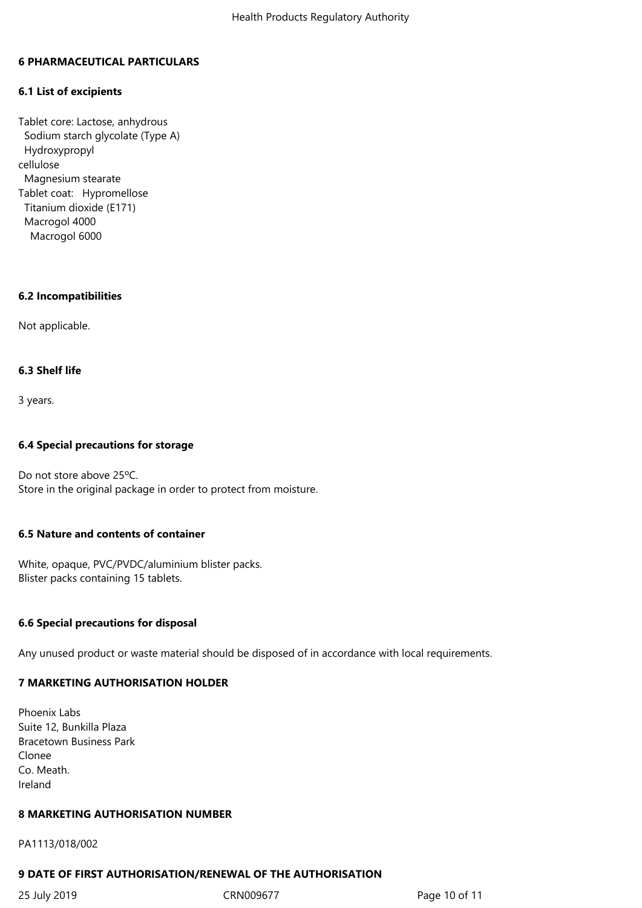#### **6 PHARMACEUTICAL PARTICULARS**

#### **6.1 List of excipients**

Tablet core: Lactose, anhydrous Sodium starch glycolate (Type A) Hydroxypropyl cellulose Magnesium stearate Tablet coat: Hypromellose Titanium dioxide (E171) Macrogol 4000 Macrogol 6000

#### **6.2 Incompatibilities**

Not applicable.

#### **6.3 Shelf life**

3 years.

#### **6.4 Special precautions for storage**

Do not store above 25ºC. Store in the original package in order to protect from moisture.

#### **6.5 Nature and contents of container**

White, opaque, PVC/PVDC/aluminium blister packs. Blister packs containing 15 tablets.

#### **6.6 Special precautions for disposal**

Any unused product or waste material should be disposed of in accordance with local requirements.

#### **7 MARKETING AUTHORISATION HOLDER**

Phoenix Labs Suite 12, Bunkilla Plaza Bracetown Business Park Clonee Co. Meath. Ireland

#### **8 MARKETING AUTHORISATION NUMBER**

#### PA1113/018/002

#### **9 DATE OF FIRST AUTHORISATION/RENEWAL OF THE AUTHORISATION**